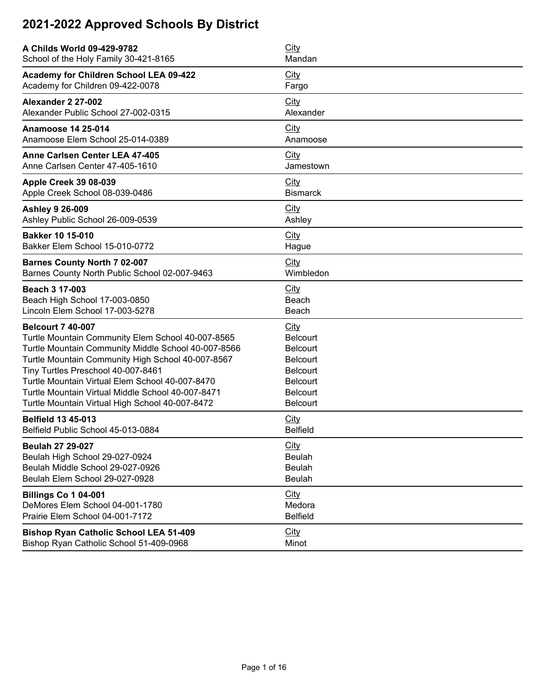| A Childs World 09-429-9782                          | City            |
|-----------------------------------------------------|-----------------|
| School of the Holy Family 30-421-8165               | Mandan          |
| Academy for Children School LEA 09-422              | <b>City</b>     |
| Academy for Children 09-422-0078                    | Fargo           |
| Alexander 2 27-002                                  | City            |
| Alexander Public School 27-002-0315                 | Alexander       |
| <b>Anamoose 14 25-014</b>                           | City            |
| Anamoose Elem School 25-014-0389                    | Anamoose        |
| Anne Carlsen Center LEA 47-405                      | <b>City</b>     |
| Anne Carlsen Center 47-405-1610                     | Jamestown       |
| <b>Apple Creek 39 08-039</b>                        | <b>City</b>     |
| Apple Creek School 08-039-0486                      | <b>Bismarck</b> |
| <b>Ashley 9 26-009</b>                              | <b>City</b>     |
| Ashley Public School 26-009-0539                    | Ashley          |
| <b>Bakker 10 15-010</b>                             | City            |
| Bakker Elem School 15-010-0772                      | Hague           |
| <b>Barnes County North 7 02-007</b>                 | City            |
| Barnes County North Public School 02-007-9463       | Wimbledon       |
| Beach 3 17-003                                      | City            |
| Beach High School 17-003-0850                       | Beach           |
| Lincoln Elem School 17-003-5278                     | Beach           |
| <b>Belcourt 7 40-007</b>                            | <b>City</b>     |
| Turtle Mountain Community Elem School 40-007-8565   | <b>Belcourt</b> |
| Turtle Mountain Community Middle School 40-007-8566 | <b>Belcourt</b> |
| Turtle Mountain Community High School 40-007-8567   | <b>Belcourt</b> |
| Tiny Turtles Preschool 40-007-8461                  | <b>Belcourt</b> |
| Turtle Mountain Virtual Elem School 40-007-8470     | Belcourt        |
| Turtle Mountain Virtual Middle School 40-007-8471   | Belcourt        |
| Turtle Mountain Virtual High School 40-007-8472     | <b>Belcourt</b> |
| <b>Belfield 13 45-013</b>                           | City            |
| Belfield Public School 45-013-0884                  | <b>Belfield</b> |
| <b>Beulah 27 29-027</b>                             | <b>City</b>     |
| Beulah High School 29-027-0924                      | Beulah          |
| Beulah Middle School 29-027-0926                    | <b>Beulah</b>   |
| Beulah Elem School 29-027-0928                      | Beulah          |
| <b>Billings Co 1 04-001</b>                         | City            |
| DeMores Elem School 04-001-1780                     | Medora          |
| Prairie Elem School 04-001-7172                     | <b>Belfield</b> |
| <b>Bishop Ryan Catholic School LEA 51-409</b>       | City            |
| Bishop Ryan Catholic School 51-409-0968             | Minot           |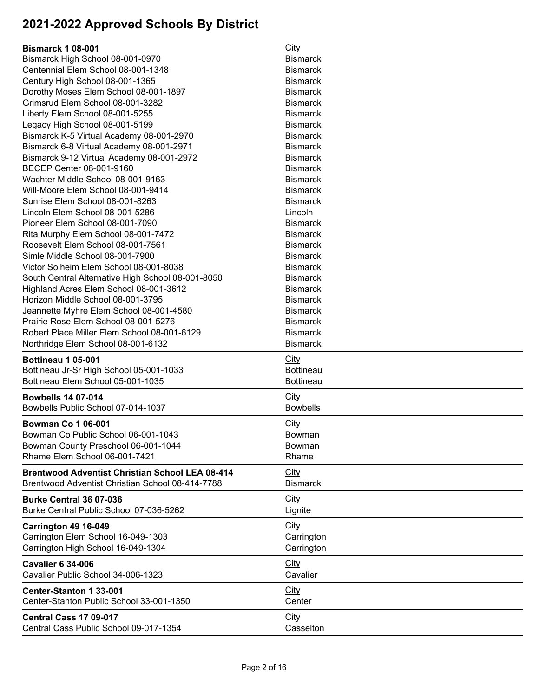| <b>Bismarck 1 08-001</b>                                             | <b>City</b>           |
|----------------------------------------------------------------------|-----------------------|
| Bismarck High School 08-001-0970                                     | <b>Bismarck</b>       |
| Centennial Elem School 08-001-1348                                   | <b>Bismarck</b>       |
| Century High School 08-001-1365                                      | <b>Bismarck</b>       |
| Dorothy Moses Elem School 08-001-1897                                | <b>Bismarck</b>       |
| Grimsrud Elem School 08-001-3282                                     | <b>Bismarck</b>       |
| Liberty Elem School 08-001-5255                                      | <b>Bismarck</b>       |
| Legacy High School 08-001-5199                                       | <b>Bismarck</b>       |
| Bismarck K-5 Virtual Academy 08-001-2970                             | <b>Bismarck</b>       |
| Bismarck 6-8 Virtual Academy 08-001-2971                             | <b>Bismarck</b>       |
| Bismarck 9-12 Virtual Academy 08-001-2972                            | <b>Bismarck</b>       |
| BECEP Center 08-001-9160                                             | <b>Bismarck</b>       |
| Wachter Middle School 08-001-9163                                    | <b>Bismarck</b>       |
| Will-Moore Elem School 08-001-9414                                   | <b>Bismarck</b>       |
| Sunrise Elem School 08-001-8263                                      | <b>Bismarck</b>       |
| Lincoln Elem School 08-001-5286                                      | Lincoln               |
| Pioneer Elem School 08-001-7090                                      | <b>Bismarck</b>       |
| Rita Murphy Elem School 08-001-7472                                  | <b>Bismarck</b>       |
| Roosevelt Elem School 08-001-7561                                    | <b>Bismarck</b>       |
| Simle Middle School 08-001-7900                                      | <b>Bismarck</b>       |
| Victor Solheim Elem School 08-001-8038                               | <b>Bismarck</b>       |
| South Central Alternative High School 08-001-8050                    | <b>Bismarck</b>       |
| Highland Acres Elem School 08-001-3612                               | <b>Bismarck</b>       |
| Horizon Middle School 08-001-3795                                    | <b>Bismarck</b>       |
| Jeannette Myhre Elem School 08-001-4580                              | <b>Bismarck</b>       |
| Prairie Rose Elem School 08-001-5276                                 | <b>Bismarck</b>       |
| Robert Place Miller Elem School 08-001-6129                          | <b>Bismarck</b>       |
|                                                                      | <b>Bismarck</b>       |
| Northridge Elem School 08-001-6132                                   |                       |
| Bottineau 1 05-001                                                   | City                  |
| Bottineau Jr-Sr High School 05-001-1033                              | <b>Bottineau</b>      |
| Bottineau Elem School 05-001-1035                                    | <b>Bottineau</b>      |
| <b>Bowbells 14 07-014</b>                                            | City                  |
| Bowbells Public School 07-014-1037                                   | <b>Bowbells</b>       |
|                                                                      |                       |
| <b>Bowman Co 1 06-001</b><br>Bowman Co Public School 06-001-1043     | <b>City</b><br>Bowman |
|                                                                      | Bowman                |
| Bowman County Preschool 06-001-1044<br>Rhame Elem School 06-001-7421 | Rhame                 |
|                                                                      |                       |
| <b>Brentwood Adventist Christian School LEA 08-414</b>               | City                  |
| Brentwood Adventist Christian School 08-414-7788                     | <b>Bismarck</b>       |
| Burke Central 36 07-036                                              | City                  |
| Burke Central Public School 07-036-5262                              | Lignite               |
| Carrington 49 16-049                                                 | City                  |
| Carrington Elem School 16-049-1303                                   | Carrington            |
| Carrington High School 16-049-1304                                   | Carrington            |
|                                                                      |                       |
| <b>Cavalier 6 34-006</b>                                             | City                  |
| Cavalier Public School 34-006-1323                                   | Cavalier              |
| <b>Center-Stanton 1 33-001</b>                                       | City                  |
| Center-Stanton Public School 33-001-1350                             | Center                |
| <b>Central Cass 17 09-017</b>                                        | City                  |
| Central Cass Public School 09-017-1354                               | Casselton             |
|                                                                      |                       |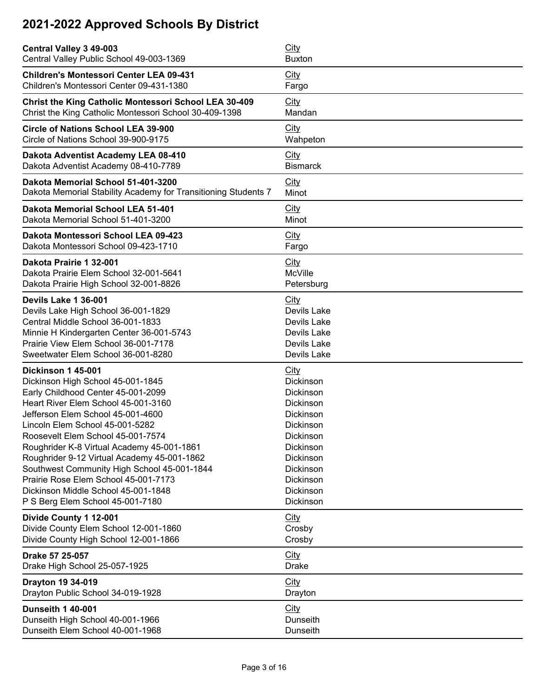| Central Valley 3 49-003                                        | <b>City</b>     |
|----------------------------------------------------------------|-----------------|
| Central Valley Public School 49-003-1369                       | <b>Buxton</b>   |
| <b>Children's Montessori Center LEA 09-431</b>                 | <b>City</b>     |
| Children's Montessori Center 09-431-1380                       | Fargo           |
| <b>Christ the King Catholic Montessori School LEA 30-409</b>   | <b>City</b>     |
| Christ the King Catholic Montessori School 30-409-1398         | Mandan          |
| <b>Circle of Nations School LEA 39-900</b>                     | City            |
| Circle of Nations School 39-900-9175                           | Wahpeton        |
| Dakota Adventist Academy LEA 08-410                            | City            |
| Dakota Adventist Academy 08-410-7789                           | <b>Bismarck</b> |
| Dakota Memorial School 51-401-3200                             | City            |
| Dakota Memorial Stability Academy for Transitioning Students 7 | Minot           |
| Dakota Memorial School LEA 51-401                              | <b>City</b>     |
| Dakota Memorial School 51-401-3200                             | Minot           |
| Dakota Montessori School LEA 09-423                            | City            |
| Dakota Montessori School 09-423-1710                           | Fargo           |
| Dakota Prairie 1 32-001                                        | City            |
| Dakota Prairie Elem School 32-001-5641                         | McVille         |
| Dakota Prairie High School 32-001-8826                         | Petersburg      |
| Devils Lake 1 36-001                                           | <b>City</b>     |
| Devils Lake High School 36-001-1829                            | Devils Lake     |
| Central Middle School 36-001-1833                              | Devils Lake     |
| Minnie H Kindergarten Center 36-001-5743                       | Devils Lake     |
| Prairie View Elem School 36-001-7178                           | Devils Lake     |
| Sweetwater Elem School 36-001-8280                             | Devils Lake     |
| <b>Dickinson 1 45-001</b>                                      | <b>City</b>     |
| Dickinson High School 45-001-1845                              | Dickinson       |
| Early Childhood Center 45-001-2099                             | Dickinson       |
| Heart River Elem School 45-001-3160                            | Dickinson       |
| Jefferson Elem School 45-001-4600                              | Dickinson       |
| Lincoln Elem School 45-001-5282                                | Dickinson       |
| Roosevelt Elem School 45-001-7574                              | Dickinson       |
| Roughrider K-8 Virtual Academy 45-001-1861                     | Dickinson       |
| Roughrider 9-12 Virtual Academy 45-001-1862                    | Dickinson       |
| Southwest Community High School 45-001-1844                    | Dickinson       |
| Prairie Rose Elem School 45-001-7173                           | Dickinson       |
| Dickinson Middle School 45-001-1848                            | Dickinson       |
| P S Berg Elem School 45-001-7180                               | Dickinson       |
| Divide County 1 12-001                                         | City            |
| Divide County Elem School 12-001-1860                          | Crosby          |
| Divide County High School 12-001-1866                          | Crosby          |
| Drake 57 25-057                                                | City            |
| Drake High School 25-057-1925                                  | <b>Drake</b>    |
| Drayton 19 34-019                                              | City            |
| Drayton Public School 34-019-1928                              | Drayton         |
| <b>Dunseith 1 40-001</b>                                       | City            |
| Dunseith High School 40-001-1966                               | Dunseith        |
| Dunseith Elem School 40-001-1968                               | Dunseith        |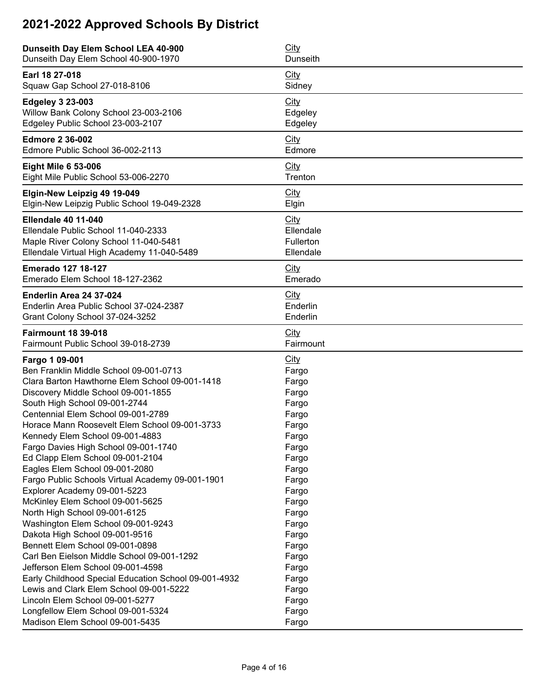| Dunseith Day Elem School LEA 40-900                  | <b>City</b>     |
|------------------------------------------------------|-----------------|
| Dunseith Day Elem School 40-900-1970                 | <b>Dunseith</b> |
| Earl 18 27-018                                       | City            |
| Squaw Gap School 27-018-8106                         | Sidney          |
| <b>Edgeley 3 23-003</b>                              | City            |
| Willow Bank Colony School 23-003-2106                | Edgeley         |
| Edgeley Public School 23-003-2107                    | Edgeley         |
| <b>Edmore 2 36-002</b>                               | City            |
| Edmore Public School 36-002-2113                     | Edmore          |
| <b>Eight Mile 6 53-006</b>                           | <b>City</b>     |
| Eight Mile Public School 53-006-2270                 | Trenton         |
| Elgin-New Leipzig 49 19-049                          | City            |
| Elgin-New Leipzig Public School 19-049-2328          | Elgin           |
| <b>Ellendale 40 11-040</b>                           | City            |
| Ellendale Public School 11-040-2333                  | Ellendale       |
| Maple River Colony School 11-040-5481                | Fullerton       |
| Ellendale Virtual High Academy 11-040-5489           | Ellendale       |
| <b>Emerado 127 18-127</b>                            | <b>City</b>     |
| Emerado Elem School 18-127-2362                      | Emerado         |
| Enderlin Area 24 37-024                              | City            |
| Enderlin Area Public School 37-024-2387              | Enderlin        |
| Grant Colony School 37-024-3252                      | Enderlin        |
| <b>Fairmount 18 39-018</b>                           | City            |
| Fairmount Public School 39-018-2739                  | Fairmount       |
| Fargo 1 09-001                                       | City            |
| Ben Franklin Middle School 09-001-0713               | Fargo           |
| Clara Barton Hawthorne Elem School 09-001-1418       | Fargo           |
| Discovery Middle School 09-001-1855                  | Fargo           |
| South High School 09-001-2744                        | Fargo           |
| Centennial Elem School 09-001-2789                   | Fargo           |
| Horace Mann Roosevelt Elem School 09-001-3733        | Fargo           |
| Kennedy Elem School 09-001-4883                      | Fargo           |
| Fargo Davies High School 09-001-1740                 | Fargo           |
| Ed Clapp Elem School 09-001-2104                     | Fargo           |
| Eagles Elem School 09-001-2080                       | Fargo           |
| Fargo Public Schools Virtual Academy 09-001-1901     | Fargo           |
| Explorer Academy 09-001-5223                         | Fargo           |
| McKinley Elem School 09-001-5625                     | Fargo           |
| North High School 09-001-6125                        | Fargo           |
| Washington Elem School 09-001-9243                   | Fargo           |
| Dakota High School 09-001-9516                       | Fargo           |
| Bennett Elem School 09-001-0898                      | Fargo           |
| Carl Ben Eielson Middle School 09-001-1292           | Fargo           |
| Jefferson Elem School 09-001-4598                    | Fargo           |
| Early Childhood Special Education School 09-001-4932 | Fargo           |
| Lewis and Clark Elem School 09-001-5222              | Fargo           |
| Lincoln Elem School 09-001-5277                      | Fargo           |
| Longfellow Elem School 09-001-5324                   | Fargo           |
| Madison Elem School 09-001-5435                      | Fargo           |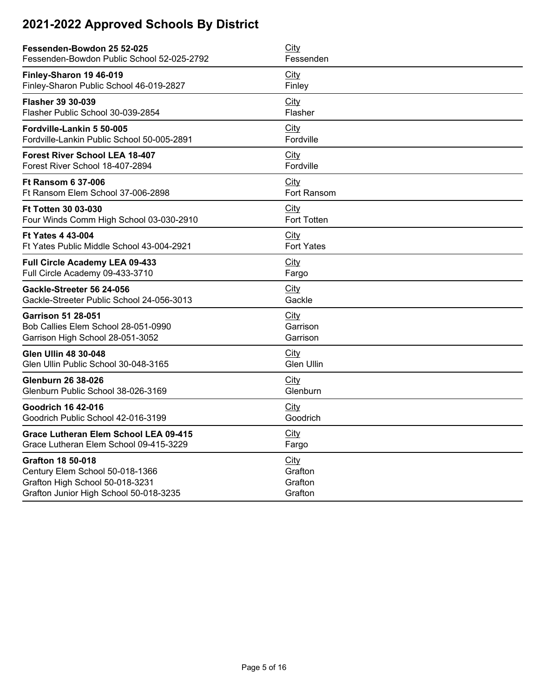| Fessenden-Bowdon 25 52-025                 | City               |
|--------------------------------------------|--------------------|
| Fessenden-Bowdon Public School 52-025-2792 | Fessenden          |
| Finley-Sharon 19 46-019                    | City               |
| Finley-Sharon Public School 46-019-2827    | Finley             |
| <b>Flasher 39 30-039</b>                   | City               |
| Flasher Public School 30-039-2854          | Flasher            |
| Fordville-Lankin 5 50-005                  | City               |
| Fordville-Lankin Public School 50-005-2891 | Fordville          |
| <b>Forest River School LEA 18-407</b>      | City               |
| Forest River School 18-407-2894            | Fordville          |
| <b>Ft Ransom 6 37-006</b>                  | <b>City</b>        |
| Ft Ransom Elem School 37-006-2898          | Fort Ransom        |
| <b>Ft Totten 30 03-030</b>                 | City               |
| Four Winds Comm High School 03-030-2910    | <b>Fort Totten</b> |
| <b>Ft Yates 4 43-004</b>                   | City               |
| Ft Yates Public Middle School 43-004-2921  | <b>Fort Yates</b>  |
| Full Circle Academy LEA 09-433             | City               |
| Full Circle Academy 09-433-3710            | Fargo              |
| Gackle-Streeter 56 24-056                  | City               |
| Gackle-Streeter Public School 24-056-3013  | Gackle             |
| <b>Garrison 51 28-051</b>                  | City               |
| Bob Callies Elem School 28-051-0990        | Garrison           |
| Garrison High School 28-051-3052           | Garrison           |
| <b>Glen Ullin 48 30-048</b>                | City               |
| Glen Ullin Public School 30-048-3165       | <b>Glen Ullin</b>  |
| <b>Glenburn 26 38-026</b>                  | City               |
| Glenburn Public School 38-026-3169         | Glenburn           |
| <b>Goodrich 16 42-016</b>                  | City               |
| Goodrich Public School 42-016-3199         | Goodrich           |
| Grace Lutheran Elem School LEA 09-415      | <b>City</b>        |
| Grace Lutheran Elem School 09-415-3229     | Fargo              |
| <b>Grafton 18 50-018</b>                   | City               |
| Century Elem School 50-018-1366            | Grafton            |
| Grafton High School 50-018-3231            | Grafton            |
| Grafton Junior High School 50-018-3235     | Grafton            |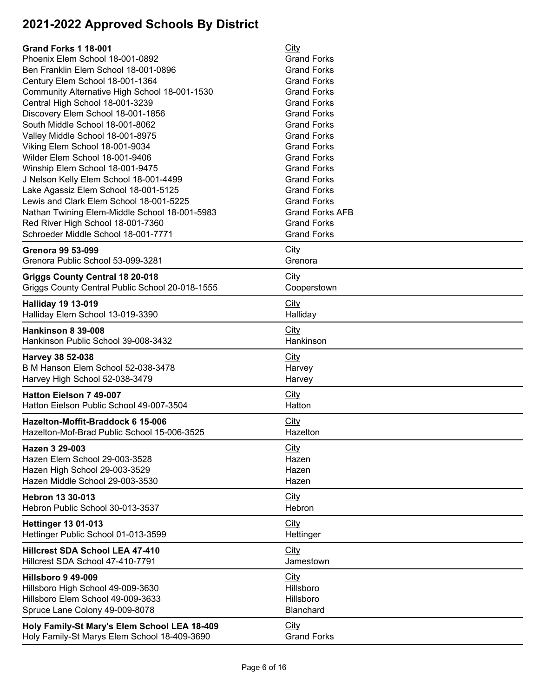| <b>Grand Forks 1 18-001</b>                     | City                   |
|-------------------------------------------------|------------------------|
| Phoenix Elem School 18-001-0892                 | <b>Grand Forks</b>     |
| Ben Franklin Elem School 18-001-0896            | <b>Grand Forks</b>     |
| Century Elem School 18-001-1364                 | <b>Grand Forks</b>     |
| Community Alternative High School 18-001-1530   | <b>Grand Forks</b>     |
| Central High School 18-001-3239                 | <b>Grand Forks</b>     |
| Discovery Elem School 18-001-1856               | <b>Grand Forks</b>     |
| South Middle School 18-001-8062                 | <b>Grand Forks</b>     |
| Valley Middle School 18-001-8975                | <b>Grand Forks</b>     |
| Viking Elem School 18-001-9034                  | <b>Grand Forks</b>     |
| Wilder Elem School 18-001-9406                  | <b>Grand Forks</b>     |
| Winship Elem School 18-001-9475                 | <b>Grand Forks</b>     |
| J Nelson Kelly Elem School 18-001-4499          | <b>Grand Forks</b>     |
| Lake Agassiz Elem School 18-001-5125            | <b>Grand Forks</b>     |
| Lewis and Clark Elem School 18-001-5225         | <b>Grand Forks</b>     |
| Nathan Twining Elem-Middle School 18-001-5983   | <b>Grand Forks AFB</b> |
| Red River High School 18-001-7360               | <b>Grand Forks</b>     |
| Schroeder Middle School 18-001-7771             | <b>Grand Forks</b>     |
| <b>Grenora 99 53-099</b>                        | <b>City</b>            |
| Grenora Public School 53-099-3281               | Grenora                |
| <b>Griggs County Central 18 20-018</b>          | City                   |
| Griggs County Central Public School 20-018-1555 | Cooperstown            |
| <b>Halliday 19 13-019</b>                       | City                   |
| Halliday Elem School 13-019-3390                | Halliday               |
| Hankinson 8 39-008                              | City                   |
| Hankinson Public School 39-008-3432             | Hankinson              |
| Harvey 38 52-038                                | <b>City</b>            |
| B M Hanson Elem School 52-038-3478              | Harvey                 |
| Harvey High School 52-038-3479                  | Harvey                 |
| Hatton Eielson 7 49-007                         | City                   |
| Hatton Eielson Public School 49-007-3504        | Hatton                 |
| Hazelton-Moffit-Braddock 6 15-006               | City                   |
| Hazelton-Mof-Brad Public School 15-006-3525     | Hazelton               |
| Hazen 3 29-003                                  | City                   |
| Hazen Elem School 29-003-3528                   | Hazen                  |
| Hazen High School 29-003-3529                   | Hazen                  |
| Hazen Middle School 29-003-3530                 | Hazen                  |
| <b>Hebron 13 30-013</b>                         | City                   |
| Hebron Public School 30-013-3537                | Hebron                 |
| <b>Hettinger 13 01-013</b>                      | City                   |
| Hettinger Public School 01-013-3599             | Hettinger              |
| Hillcrest SDA School LEA 47-410                 | <b>City</b>            |
| Hillcrest SDA School 47-410-7791                | Jamestown              |
| <b>Hillsboro 9 49-009</b>                       | <b>City</b>            |
| Hillsboro High School 49-009-3630               | Hillsboro              |
| Hillsboro Elem School 49-009-3633               | Hillsboro              |
| Spruce Lane Colony 49-009-8078                  | Blanchard              |
| Holy Family-St Mary's Elem School LEA 18-409    | City                   |
| Holy Family-St Marys Elem School 18-409-3690    | <b>Grand Forks</b>     |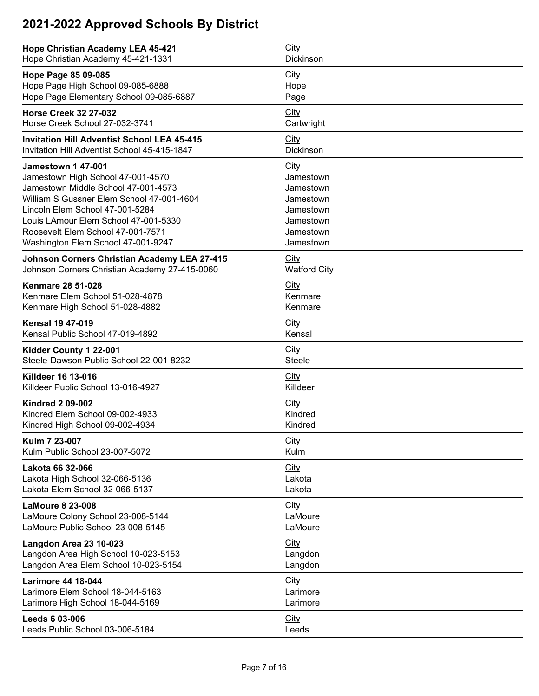| <b>Hope Christian Academy LEA 45-421</b>            | <b>City</b>         |
|-----------------------------------------------------|---------------------|
| Hope Christian Academy 45-421-1331                  | Dickinson           |
| Hope Page 85 09-085                                 | <b>City</b>         |
| Hope Page High School 09-085-6888                   | Hope                |
| Hope Page Elementary School 09-085-6887             | Page                |
| <b>Horse Creek 32 27-032</b>                        | City                |
| Horse Creek School 27-032-3741                      | Cartwright          |
| <b>Invitation Hill Adventist School LEA 45-415</b>  | City                |
| Invitation Hill Adventist School 45-415-1847        | Dickinson           |
| <b>Jamestown 1 47-001</b>                           | <b>City</b>         |
| Jamestown High School 47-001-4570                   | Jamestown           |
| Jamestown Middle School 47-001-4573                 | Jamestown           |
| William S Gussner Elem School 47-001-4604           | Jamestown           |
| Lincoln Elem School 47-001-5284                     | Jamestown           |
| Louis LAmour Elem School 47-001-5330                | Jamestown           |
| Roosevelt Elem School 47-001-7571                   | Jamestown           |
| Washington Elem School 47-001-9247                  | Jamestown           |
| <b>Johnson Corners Christian Academy LEA 27-415</b> | <b>City</b>         |
| Johnson Corners Christian Academy 27-415-0060       | <b>Watford City</b> |
| <b>Kenmare 28 51-028</b>                            | City                |
| Kenmare Elem School 51-028-4878                     | Kenmare             |
| Kenmare High School 51-028-4882                     | Kenmare             |
| <b>Kensal 19 47-019</b>                             | <b>City</b>         |
| Kensal Public School 47-019-4892                    | Kensal              |
| Kidder County 1 22-001                              | <b>City</b>         |
| Steele-Dawson Public School 22-001-8232             | <b>Steele</b>       |
| Killdeer 16 13-016                                  | City                |
| Killdeer Public School 13-016-4927                  | Killdeer            |
| <b>Kindred 2 09-002</b>                             | City                |
| Kindred Elem School 09-002-4933                     | Kindred             |
| Kindred High School 09-002-4934                     | Kindred             |
| Kulm 7 23-007                                       | <b>City</b>         |
| Kulm Public School 23-007-5072                      | Kulm                |
| <b>Lakota 66 32-066</b>                             | City                |
| Lakota High School 32-066-5136                      | Lakota              |
| Lakota Elem School 32-066-5137                      | Lakota              |
| <b>LaMoure 8 23-008</b>                             | City                |
| LaMoure Colony School 23-008-5144                   | LaMoure             |
| LaMoure Public School 23-008-5145                   | LaMoure             |
| Langdon Area 23 10-023                              | <b>City</b>         |
| Langdon Area High School 10-023-5153                | Langdon             |
| Langdon Area Elem School 10-023-5154                | Langdon             |
| <b>Larimore 44 18-044</b>                           | <b>City</b>         |
| Larimore Elem School 18-044-5163                    | Larimore            |
| Larimore High School 18-044-5169                    | Larimore            |
| Leeds 6 03-006                                      | City                |
| Leeds Public School 03-006-5184                     | Leeds               |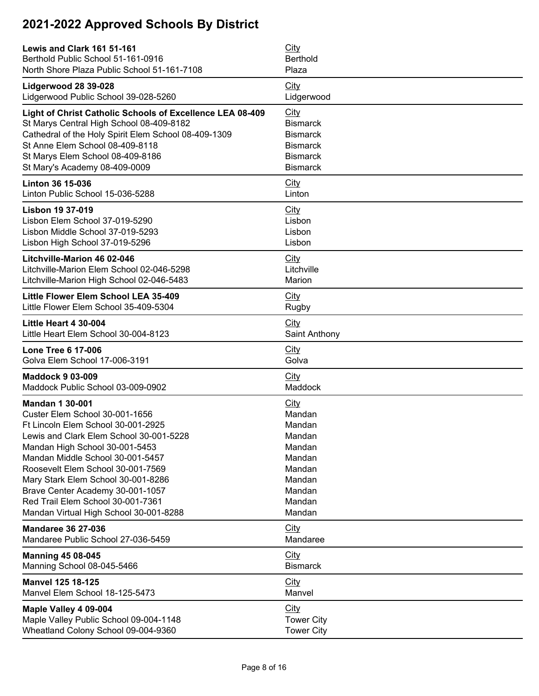| Lewis and Clark 161 51-161                                | City              |
|-----------------------------------------------------------|-------------------|
| Berthold Public School 51-161-0916                        | <b>Berthold</b>   |
| North Shore Plaza Public School 51-161-7108               | Plaza             |
| Lidgerwood 28 39-028                                      | City              |
| Lidgerwood Public School 39-028-5260                      | Lidgerwood        |
| Light of Christ Catholic Schools of Excellence LEA 08-409 | City              |
| St Marys Central High School 08-409-8182                  | <b>Bismarck</b>   |
| Cathedral of the Holy Spirit Elem School 08-409-1309      | <b>Bismarck</b>   |
| St Anne Elem School 08-409-8118                           | <b>Bismarck</b>   |
| St Marys Elem School 08-409-8186                          | <b>Bismarck</b>   |
| St Mary's Academy 08-409-0009                             | <b>Bismarck</b>   |
| <b>Linton 36 15-036</b>                                   | City              |
| Linton Public School 15-036-5288                          | Linton            |
| <b>Lisbon 19 37-019</b>                                   | City              |
| Lisbon Elem School 37-019-5290                            | Lisbon            |
| Lisbon Middle School 37-019-5293                          | Lisbon            |
| Lisbon High School 37-019-5296                            | Lisbon            |
| Litchville-Marion 46 02-046                               | City              |
| Litchville-Marion Elem School 02-046-5298                 | Litchville        |
| Litchville-Marion High School 02-046-5483                 | Marion            |
| Little Flower Elem School LEA 35-409                      | City              |
| Little Flower Elem School 35-409-5304                     | Rugby             |
| Little Heart 4 30-004                                     | <b>City</b>       |
| Little Heart Elem School 30-004-8123                      | Saint Anthony     |
| <b>Lone Tree 6 17-006</b>                                 | <b>City</b>       |
| Golva Elem School 17-006-3191                             | Golva             |
| <b>Maddock 9 03-009</b>                                   | City              |
| Maddock Public School 03-009-0902                         | Maddock           |
| <b>Mandan 1 30-001</b>                                    | City              |
| Custer Elem School 30-001-1656                            | Mandan            |
| Ft Lincoln Elem School 30-001-2925                        | Mandan            |
| Lewis and Clark Elem School 30-001-5228                   | Mandan            |
| Mandan High School 30-001-5453                            | Mandan            |
| Mandan Middle School 30-001-5457                          | Mandan            |
| Roosevelt Elem School 30-001-7569                         | Mandan            |
| Mary Stark Elem School 30-001-8286                        | Mandan            |
| Brave Center Academy 30-001-1057                          | Mandan            |
| Red Trail Elem School 30-001-7361                         | Mandan            |
| Mandan Virtual High School 30-001-8288                    | Mandan            |
| <b>Mandaree 36 27-036</b>                                 | City              |
| Mandaree Public School 27-036-5459                        | Mandaree          |
| <b>Manning 45 08-045</b>                                  | City              |
| Manning School 08-045-5466                                | <b>Bismarck</b>   |
| <b>Manvel 125 18-125</b>                                  | <b>City</b>       |
| Manvel Elem School 18-125-5473                            | Manvel            |
| Maple Valley 4 09-004                                     | City              |
| Maple Valley Public School 09-004-1148                    | <b>Tower City</b> |
| Wheatland Colony School 09-004-9360                       | <b>Tower City</b> |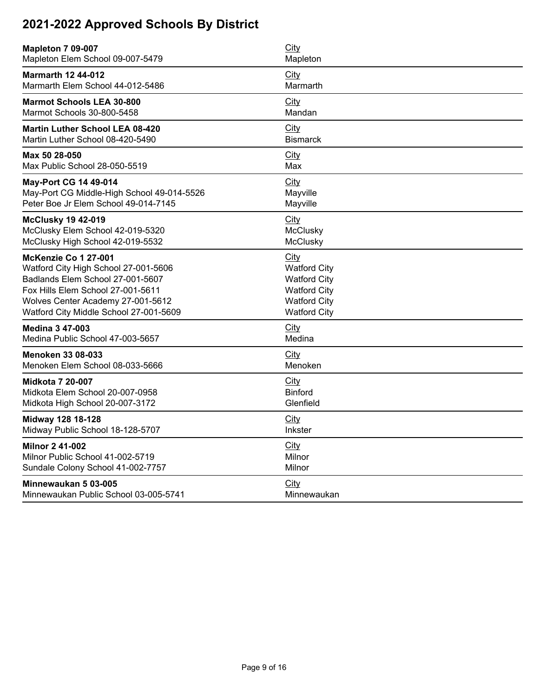| <b>Mapleton 7 09-007</b>                   | <b>City</b>         |
|--------------------------------------------|---------------------|
| Mapleton Elem School 09-007-5479           | Mapleton            |
| <b>Marmarth 12 44-012</b>                  | City                |
| Marmarth Elem School 44-012-5486           | Marmarth            |
| <b>Marmot Schools LEA 30-800</b>           | City                |
| Marmot Schools 30-800-5458                 | Mandan              |
| <b>Martin Luther School LEA 08-420</b>     | City                |
| Martin Luther School 08-420-5490           | <b>Bismarck</b>     |
| Max 50 28-050                              | City                |
| Max Public School 28-050-5519              | Max                 |
| <b>May-Port CG 14 49-014</b>               | City                |
| May-Port CG Middle-High School 49-014-5526 | Mayville            |
| Peter Boe Jr Elem School 49-014-7145       | Mayville            |
| <b>McClusky 19 42-019</b>                  | City                |
| McClusky Elem School 42-019-5320           | McClusky            |
| McClusky High School 42-019-5532           | McClusky            |
| McKenzie Co 1 27-001                       | City                |
| Watford City High School 27-001-5606       | <b>Watford City</b> |
| Badlands Elem School 27-001-5607           | <b>Watford City</b> |
| Fox Hills Elem School 27-001-5611          | <b>Watford City</b> |
| Wolves Center Academy 27-001-5612          | <b>Watford City</b> |
| Watford City Middle School 27-001-5609     | <b>Watford City</b> |
| <b>Medina 3 47-003</b>                     | City                |
| Medina Public School 47-003-5657           | Medina              |
| <b>Menoken 33 08-033</b>                   | City                |
| Menoken Elem School 08-033-5666            | Menoken             |
| <b>Midkota 7 20-007</b>                    | City                |
| Midkota Elem School 20-007-0958            | <b>Binford</b>      |
| Midkota High School 20-007-3172            | Glenfield           |
| Midway 128 18-128                          | City                |
| Midway Public School 18-128-5707           | <b>Inkster</b>      |
| <b>Milnor 2 41-002</b>                     | City                |
| Milnor Public School 41-002-5719           | Milnor              |
| Sundale Colony School 41-002-7757          | Milnor              |
| Minnewaukan 5 03-005                       | City                |
| Minnewaukan Public School 03-005-5741      | Minnewaukan         |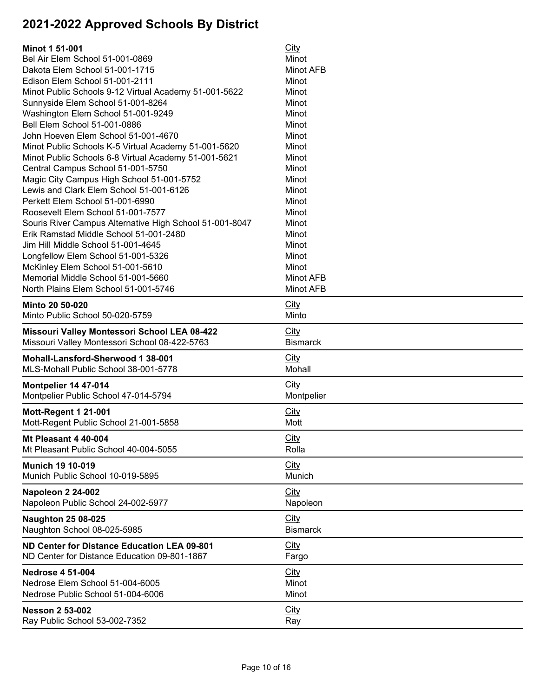| <b>Minot 1 51-001</b>                                   | <b>City</b>     |
|---------------------------------------------------------|-----------------|
| Bel Air Elem School 51-001-0869                         | Minot           |
| Dakota Elem School 51-001-1715                          | Minot AFB       |
| Edison Elem School 51-001-2111                          | Minot           |
| Minot Public Schools 9-12 Virtual Academy 51-001-5622   | Minot           |
| Sunnyside Elem School 51-001-8264                       | Minot           |
| Washington Elem School 51-001-9249                      | Minot           |
| Bell Elem School 51-001-0886                            | Minot           |
| John Hoeven Elem School 51-001-4670                     | Minot           |
| Minot Public Schools K-5 Virtual Academy 51-001-5620    | Minot           |
| Minot Public Schools 6-8 Virtual Academy 51-001-5621    | Minot           |
| Central Campus School 51-001-5750                       | Minot           |
| Magic City Campus High School 51-001-5752               | Minot           |
| Lewis and Clark Elem School 51-001-6126                 | Minot           |
| Perkett Elem School 51-001-6990                         | Minot           |
| Roosevelt Elem School 51-001-7577                       | Minot           |
| Souris River Campus Alternative High School 51-001-8047 | Minot           |
| Erik Ramstad Middle School 51-001-2480                  | Minot           |
| Jim Hill Middle School 51-001-4645                      | Minot           |
| Longfellow Elem School 51-001-5326                      | Minot           |
| McKinley Elem School 51-001-5610                        | Minot           |
| Memorial Middle School 51-001-5660                      | Minot AFB       |
| North Plains Elem School 51-001-5746                    | Minot AFB       |
| Minto 20 50-020                                         | City            |
| Minto Public School 50-020-5759                         | Minto           |
| Missouri Valley Montessori School LEA 08-422            | City            |
| Missouri Valley Montessori School 08-422-5763           | <b>Bismarck</b> |
| Mohall-Lansford-Sherwood 1 38-001                       | City            |
| MLS-Mohall Public School 38-001-5778                    | Mohall          |
| Montpelier 14 47-014                                    | <b>City</b>     |
| Montpelier Public School 47-014-5794                    | Montpelier      |
| <b>Mott-Regent 1 21-001</b>                             | <b>City</b>     |
| Mott-Regent Public School 21-001-5858                   | Mott            |
| Mt Pleasant 4 40-004                                    | City            |
| Mt Pleasant Public School 40-004-5055                   | Rolla           |
| <b>Munich 19 10-019</b>                                 | City            |
| Munich Public School 10-019-5895                        | Munich          |
| Napoleon 2 24-002                                       | City            |
| Napoleon Public School 24-002-5977                      | Napoleon        |
| <b>Naughton 25 08-025</b>                               | <b>City</b>     |
| Naughton School 08-025-5985                             | <b>Bismarck</b> |
| ND Center for Distance Education LEA 09-801             | <b>City</b>     |
| ND Center for Distance Education 09-801-1867            | Fargo           |
| <b>Nedrose 4 51-004</b>                                 | <b>City</b>     |
| Nedrose Elem School 51-004-6005                         | Minot           |
| Nedrose Public School 51-004-6006                       | Minot           |
| <b>Nesson 2 53-002</b>                                  | <b>City</b>     |
| Ray Public School 53-002-7352                           | Ray             |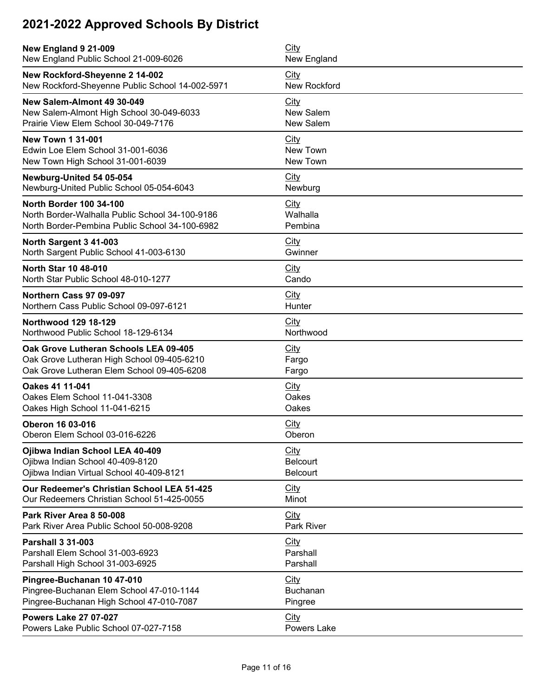| New England 9 21-009                            | City            |
|-------------------------------------------------|-----------------|
| New England Public School 21-009-6026           | New England     |
| New Rockford-Sheyenne 2 14-002                  | <b>City</b>     |
| New Rockford-Sheyenne Public School 14-002-5971 | New Rockford    |
| New Salem-Almont 49 30-049                      | City            |
| New Salem-Almont High School 30-049-6033        | New Salem       |
| Prairie View Elem School 30-049-7176            | New Salem       |
| <b>New Town 1 31-001</b>                        | City            |
| Edwin Loe Elem School 31-001-6036               | New Town        |
| New Town High School 31-001-6039                | New Town        |
| Newburg-United 54 05-054                        | <b>City</b>     |
| Newburg-United Public School 05-054-6043        | Newburg         |
| <b>North Border 100 34-100</b>                  | City            |
| North Border-Walhalla Public School 34-100-9186 | Walhalla        |
| North Border-Pembina Public School 34-100-6982  | Pembina         |
| North Sargent 3 41-003                          | City            |
| North Sargent Public School 41-003-6130         | Gwinner         |
| <b>North Star 10 48-010</b>                     | <b>City</b>     |
| North Star Public School 48-010-1277            | Cando           |
| Northern Cass 97 09-097                         | <b>City</b>     |
| Northern Cass Public School 09-097-6121         | Hunter          |
| Northwood 129 18-129                            | City            |
| Northwood Public School 18-129-6134             | Northwood       |
| Oak Grove Lutheran Schools LEA 09-405           | <b>City</b>     |
| Oak Grove Lutheran High School 09-405-6210      | Fargo           |
| Oak Grove Lutheran Elem School 09-405-6208      | Fargo           |
| Oakes 41 11-041                                 | <b>City</b>     |
| Oakes Elem School 11-041-3308                   | Oakes           |
| Oakes High School 11-041-6215                   | Oakes           |
| <b>Oberon 16 03-016</b>                         | <b>City</b>     |
| Oberon Elem School 03-016-6226                  | Oberon          |
| Ojibwa Indian School LEA 40-409                 | City            |
| Ojibwa Indian School 40-409-8120                | <b>Belcourt</b> |
| Ojibwa Indian Virtual School 40-409-8121        | <b>Belcourt</b> |
| Our Redeemer's Christian School LEA 51-425      | <b>City</b>     |
| Our Redeemers Christian School 51-425-0055      | Minot           |
| Park River Area 8 50-008                        | City            |
| Park River Area Public School 50-008-9208       | Park River      |
| <b>Parshall 3 31-003</b>                        | City            |
| Parshall Elem School 31-003-6923                | Parshall        |
| Parshall High School 31-003-6925                | Parshall        |
| Pingree-Buchanan 10 47-010                      | City            |
| Pingree-Buchanan Elem School 47-010-1144        | <b>Buchanan</b> |
| Pingree-Buchanan High School 47-010-7087        | Pingree         |
| <b>Powers Lake 27 07-027</b>                    | City            |
| Powers Lake Public School 07-027-7158           | Powers Lake     |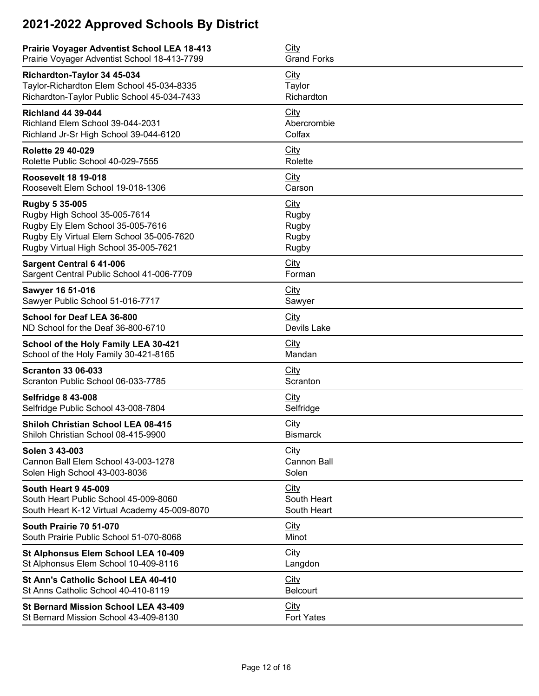| <b>Prairie Voyager Adventist School LEA 18-413</b> | City               |
|----------------------------------------------------|--------------------|
| Prairie Voyager Adventist School 18-413-7799       | <b>Grand Forks</b> |
| Richardton-Taylor 34 45-034                        | <b>City</b>        |
| Taylor-Richardton Elem School 45-034-8335          | Taylor             |
| Richardton-Taylor Public School 45-034-7433        | Richardton         |
| <b>Richland 44 39-044</b>                          | City               |
| Richland Elem School 39-044-2031                   | Abercrombie        |
| Richland Jr-Sr High School 39-044-6120             | Colfax             |
| <b>Rolette 29 40-029</b>                           | <b>City</b>        |
| Rolette Public School 40-029-7555                  | Rolette            |
| <b>Roosevelt 18 19-018</b>                         | <b>City</b>        |
| Roosevelt Elem School 19-018-1306                  | Carson             |
| Rugby 5 35-005                                     | City               |
| Rugby High School 35-005-7614                      | Rugby              |
| Rugby Ely Elem School 35-005-7616                  | Rugby              |
| Rugby Ely Virtual Elem School 35-005-7620          | Rugby              |
| Rugby Virtual High School 35-005-7621              | Rugby              |
| <b>Sargent Central 6 41-006</b>                    | <b>City</b>        |
| Sargent Central Public School 41-006-7709          | Forman             |
| Sawyer 16 51-016                                   | <b>City</b>        |
| Sawyer Public School 51-016-7717                   | Sawyer             |
| School for Deaf LEA 36-800                         | City               |
| ND School for the Deaf 36-800-6710                 | Devils Lake        |
| School of the Holy Family LEA 30-421               | City               |
| School of the Holy Family 30-421-8165              | Mandan             |
| <b>Scranton 33 06-033</b>                          | City               |
| Scranton Public School 06-033-7785                 | Scranton           |
| <b>Selfridge 8 43-008</b>                          | <b>City</b>        |
| Selfridge Public School 43-008-7804                | Selfridge          |
| <b>Shiloh Christian School LEA 08-415</b>          | City               |
| Shiloh Christian School 08-415-9900                | <b>Bismarck</b>    |
| Solen 3 43-003                                     | City               |
| Cannon Ball Elem School 43-003-1278                | Cannon Ball        |
| Solen High School 43-003-8036                      | Solen              |
| <b>South Heart 9 45-009</b>                        | <b>City</b>        |
| South Heart Public School 45-009-8060              | South Heart        |
| South Heart K-12 Virtual Academy 45-009-8070       | South Heart        |
| South Prairie 70 51-070                            | City               |
| South Prairie Public School 51-070-8068            | Minot              |
| St Alphonsus Elem School LEA 10-409                | City               |
| St Alphonsus Elem School 10-409-8116               | Langdon            |
| St Ann's Catholic School LEA 40-410                | City               |
| St Anns Catholic School 40-410-8119                | <b>Belcourt</b>    |
| St Bernard Mission School LEA 43-409               | <b>City</b>        |
| St Bernard Mission School 43-409-8130              | <b>Fort Yates</b>  |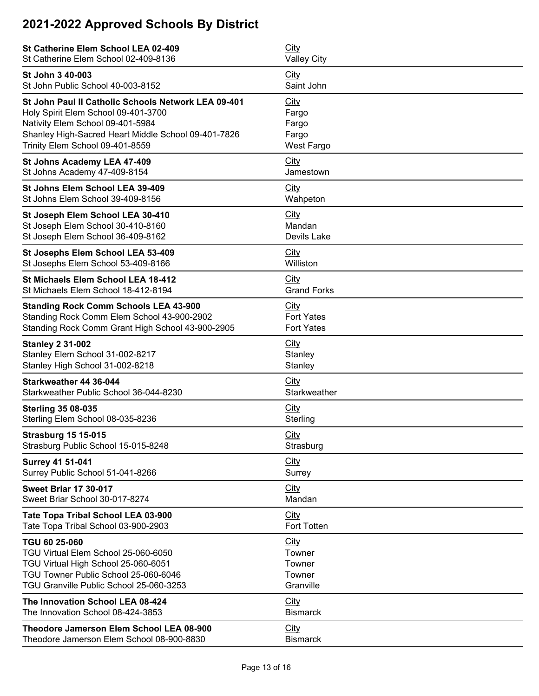| St Catherine Elem School LEA 02-409                 | City               |
|-----------------------------------------------------|--------------------|
| St Catherine Elem School 02-409-8136                | <b>Valley City</b> |
| St John 3 40-003                                    | City               |
| St John Public School 40-003-8152                   | Saint John         |
| St John Paul II Catholic Schools Network LEA 09-401 | <b>City</b>        |
| Holy Spirit Elem School 09-401-3700                 | Fargo              |
| Nativity Elem School 09-401-5984                    | Fargo              |
| Shanley High-Sacred Heart Middle School 09-401-7826 | Fargo              |
| Trinity Elem School 09-401-8559                     | <b>West Fargo</b>  |
| St Johns Academy LEA 47-409                         | City               |
| St Johns Academy 47-409-8154                        | Jamestown          |
| St Johns Elem School LEA 39-409                     | City               |
| St Johns Elem School 39-409-8156                    | Wahpeton           |
| St Joseph Elem School LEA 30-410                    | City               |
| St Joseph Elem School 30-410-8160                   | Mandan             |
| St Joseph Elem School 36-409-8162                   | Devils Lake        |
| St Josephs Elem School LEA 53-409                   | <b>City</b>        |
| St Josephs Elem School 53-409-8166                  | Williston          |
| St Michaels Elem School LEA 18-412                  | City               |
| St Michaels Elem School 18-412-8194                 | <b>Grand Forks</b> |
| <b>Standing Rock Comm Schools LEA 43-900</b>        | City               |
| Standing Rock Comm Elem School 43-900-2902          | <b>Fort Yates</b>  |
| Standing Rock Comm Grant High School 43-900-2905    | <b>Fort Yates</b>  |
| <b>Stanley 2 31-002</b>                             | City               |
| Stanley Elem School 31-002-8217                     | Stanley            |
| Stanley High School 31-002-8218                     | Stanley            |
| Starkweather 44 36-044                              | City               |
| Starkweather Public School 36-044-8230              | Starkweather       |
| <b>Sterling 35 08-035</b>                           | City               |
| Sterling Elem School 08-035-8236                    | Sterling           |
| <b>Strasburg 15 15-015</b>                          | City               |
| Strasburg Public School 15-015-8248                 | Strasburg          |
| <b>Surrey 41 51-041</b>                             | City               |
| Surrey Public School 51-041-8266                    | Surrey             |
| <b>Sweet Briar 17 30-017</b>                        | <b>City</b>        |
| Sweet Briar School 30-017-8274                      | Mandan             |
| Tate Topa Tribal School LEA 03-900                  | City               |
| Tate Topa Tribal School 03-900-2903                 | Fort Totten        |
| TGU 60 25-060                                       | City               |
| TGU Virtual Elem School 25-060-6050                 | Towner             |
| TGU Virtual High School 25-060-6051                 | Towner             |
| TGU Towner Public School 25-060-6046                | Towner             |
| TGU Granville Public School 25-060-3253             | Granville          |
| The Innovation School LEA 08-424                    | City               |
| The Innovation School 08-424-3853                   | <b>Bismarck</b>    |
| Theodore Jamerson Elem School LEA 08-900            | City               |
| Theodore Jamerson Elem School 08-900-8830           | <b>Bismarck</b>    |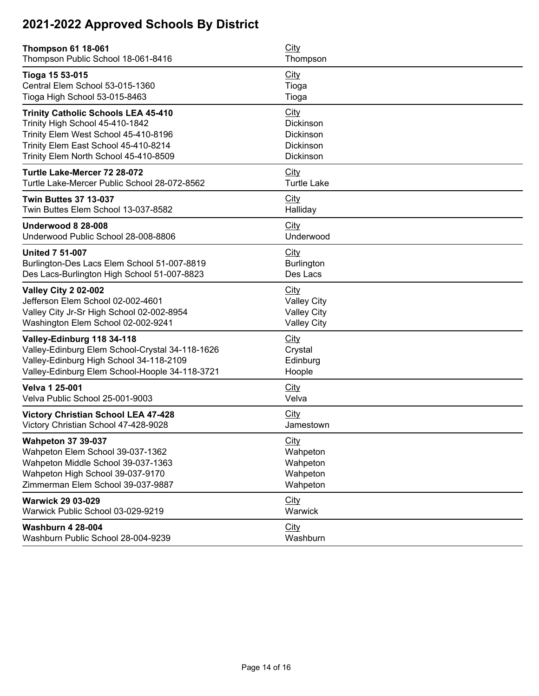| <b>Thompson 61 18-061</b><br>Thompson Public School 18-061-8416                                                                                                                                        | <b>City</b><br>Thompson                                                |  |
|--------------------------------------------------------------------------------------------------------------------------------------------------------------------------------------------------------|------------------------------------------------------------------------|--|
| Tioga 15 53-015<br>Central Elem School 53-015-1360<br>Tioga High School 53-015-8463                                                                                                                    | <b>City</b><br>Tioga<br>Tioga                                          |  |
| <b>Trinity Catholic Schools LEA 45-410</b><br>Trinity High School 45-410-1842<br>Trinity Elem West School 45-410-8196<br>Trinity Elem East School 45-410-8214<br>Trinity Elem North School 45-410-8509 | City<br>Dickinson<br>Dickinson<br>Dickinson<br>Dickinson               |  |
| Turtle Lake-Mercer 72 28-072<br>Turtle Lake-Mercer Public School 28-072-8562                                                                                                                           | City<br><b>Turtle Lake</b>                                             |  |
| <b>Twin Buttes 37 13-037</b><br>Twin Buttes Elem School 13-037-8582                                                                                                                                    | City<br>Halliday                                                       |  |
| Underwood 8 28-008<br>Underwood Public School 28-008-8806                                                                                                                                              | City<br>Underwood                                                      |  |
| <b>United 7 51-007</b><br>Burlington-Des Lacs Elem School 51-007-8819<br>Des Lacs-Burlington High School 51-007-8823                                                                                   | <b>City</b><br>Burlington<br>Des Lacs                                  |  |
| <b>Valley City 2 02-002</b><br>Jefferson Elem School 02-002-4601<br>Valley City Jr-Sr High School 02-002-8954<br>Washington Elem School 02-002-9241                                                    | City<br><b>Valley City</b><br><b>Valley City</b><br><b>Valley City</b> |  |
| Valley-Edinburg 118 34-118<br>Valley-Edinburg Elem School-Crystal 34-118-1626<br>Valley-Edinburg High School 34-118-2109<br>Valley-Edinburg Elem School-Hoople 34-118-3721                             | <b>City</b><br>Crystal<br>Edinburg<br>Hoople                           |  |
| <b>Velva 1 25-001</b><br>Velva Public School 25-001-9003                                                                                                                                               | City<br>Velva                                                          |  |
| <b>Victory Christian School LEA 47-428</b><br>Victory Christian School 47-428-9028                                                                                                                     | City<br>Jamestown                                                      |  |
| <b>Wahpeton 37 39-037</b><br>Wahpeton Elem School 39-037-1362<br>Wahpeton Middle School 39-037-1363<br>Wahpeton High School 39-037-9170<br>Zimmerman Elem School 39-037-9887                           | <b>City</b><br>Wahpeton<br>Wahpeton<br>Wahpeton<br>Wahpeton            |  |
| <b>Warwick 29 03-029</b><br>Warwick Public School 03-029-9219                                                                                                                                          | City<br>Warwick                                                        |  |
| <b>Washburn 4 28-004</b><br>Washburn Public School 28-004-9239                                                                                                                                         | City<br>Washburn                                                       |  |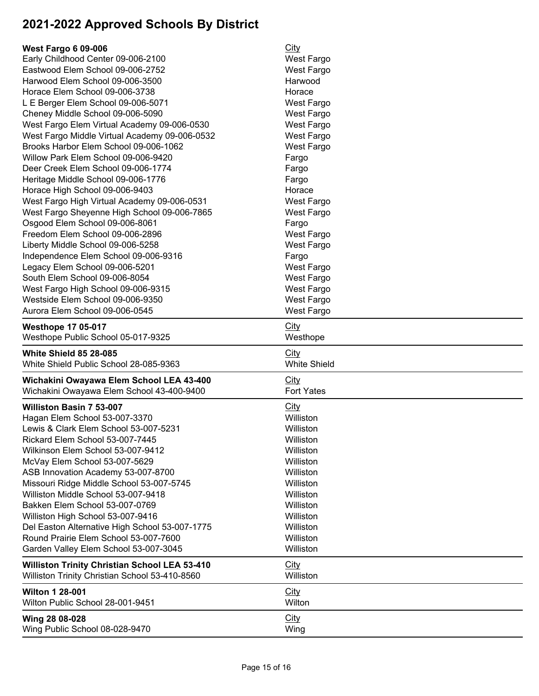| <b>West Fargo 6 09-006</b>                           | <b>City</b>         |
|------------------------------------------------------|---------------------|
| Early Childhood Center 09-006-2100                   | West Fargo          |
| Eastwood Elem School 09-006-2752                     | <b>West Fargo</b>   |
| Harwood Elem School 09-006-3500                      | Harwood             |
| Horace Elem School 09-006-3738                       | Horace              |
| L E Berger Elem School 09-006-5071                   | <b>West Fargo</b>   |
|                                                      |                     |
| Cheney Middle School 09-006-5090                     | West Fargo          |
| West Fargo Elem Virtual Academy 09-006-0530          | <b>West Fargo</b>   |
| West Fargo Middle Virtual Academy 09-006-0532        | West Fargo          |
| Brooks Harbor Elem School 09-006-1062                | <b>West Fargo</b>   |
| Willow Park Elem School 09-006-9420                  | Fargo               |
| Deer Creek Elem School 09-006-1774                   | Fargo               |
| Heritage Middle School 09-006-1776                   | Fargo               |
| Horace High School 09-006-9403                       | Horace              |
| West Fargo High Virtual Academy 09-006-0531          | <b>West Fargo</b>   |
| West Fargo Sheyenne High School 09-006-7865          | <b>West Fargo</b>   |
| Osgood Elem School 09-006-8061                       | Fargo               |
| Freedom Elem School 09-006-2896                      | <b>West Fargo</b>   |
| Liberty Middle School 09-006-5258                    | West Fargo          |
| Independence Elem School 09-006-9316                 | Fargo               |
| Legacy Elem School 09-006-5201                       | <b>West Fargo</b>   |
| South Elem School 09-006-8054                        | <b>West Fargo</b>   |
| West Fargo High School 09-006-9315                   | <b>West Fargo</b>   |
| Westside Elem School 09-006-9350                     | <b>West Fargo</b>   |
| Aurora Elem School 09-006-0545                       | West Fargo          |
|                                                      |                     |
| <b>Westhope 17 05-017</b>                            | City                |
| Westhope Public School 05-017-9325                   | Westhope            |
|                                                      |                     |
|                                                      |                     |
| <b>White Shield 85 28-085</b>                        | <b>City</b>         |
| White Shield Public School 28-085-9363               | <b>White Shield</b> |
| Wichakini Owayawa Elem School LEA 43-400             | City                |
| Wichakini Owayawa Elem School 43-400-9400            | <b>Fort Yates</b>   |
| Williston Basin 7 53-007                             | City                |
|                                                      | Williston           |
| Hagan Elem School 53-007-3370                        | Williston           |
| Lewis & Clark Elem School 53-007-5231                |                     |
| Rickard Elem School 53-007-7445                      | Williston           |
| Wilkinson Elem School 53-007-9412                    | Williston           |
| McVay Elem School 53-007-5629                        | Williston           |
| ASB Innovation Academy 53-007-8700                   | Williston           |
| Missouri Ridge Middle School 53-007-5745             | Williston           |
| Williston Middle School 53-007-9418                  | Williston           |
| Bakken Elem School 53-007-0769                       | Williston           |
| Williston High School 53-007-9416                    | Williston           |
| Del Easton Alternative High School 53-007-1775       | Williston           |
| Round Prairie Elem School 53-007-7600                | Williston           |
| Garden Valley Elem School 53-007-3045                | Williston           |
| <b>Williston Trinity Christian School LEA 53-410</b> | <b>City</b>         |
| Williston Trinity Christian School 53-410-8560       | Williston           |
|                                                      |                     |
| <b>Wilton 1 28-001</b>                               | <b>City</b>         |
| Wilton Public School 28-001-9451                     | Wilton              |
| Wing 28 08-028<br>Wing Public School 08-028-9470     | City<br>Wing        |